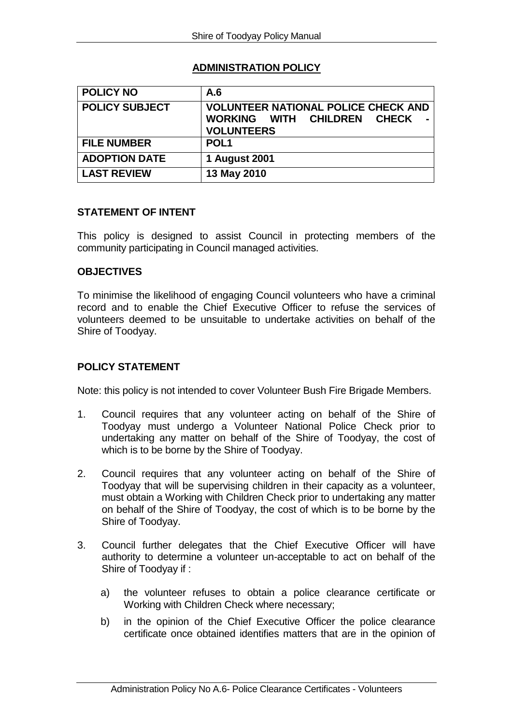## **ADMINISTRATION POLICY**

| <b>POLICY NO</b>      | A.6                                                                                                      |
|-----------------------|----------------------------------------------------------------------------------------------------------|
| <b>POLICY SUBJECT</b> | <b>VOLUNTEER NATIONAL POLICE CHECK AND</b><br>WORKING WITH CHILDREN<br><b>CHECK</b><br><b>VOLUNTEERS</b> |
| <b>FILE NUMBER</b>    | POL <sub>1</sub>                                                                                         |
| <b>ADOPTION DATE</b>  | 1 August 2001                                                                                            |
| <b>LAST REVIEW</b>    | 13 May 2010                                                                                              |

## **STATEMENT OF INTENT**

This policy is designed to assist Council in protecting members of the community participating in Council managed activities.

## **OBJECTIVES**

To minimise the likelihood of engaging Council volunteers who have a criminal record and to enable the Chief Executive Officer to refuse the services of volunteers deemed to be unsuitable to undertake activities on behalf of the Shire of Toodyay.

## **POLICY STATEMENT**

Note: this policy is not intended to cover Volunteer Bush Fire Brigade Members.

- 1. Council requires that any volunteer acting on behalf of the Shire of Toodyay must undergo a Volunteer National Police Check prior to undertaking any matter on behalf of the Shire of Toodyay, the cost of which is to be borne by the Shire of Toodyay.
- 2. Council requires that any volunteer acting on behalf of the Shire of Toodyay that will be supervising children in their capacity as a volunteer, must obtain a Working with Children Check prior to undertaking any matter on behalf of the Shire of Toodyay, the cost of which is to be borne by the Shire of Toodyay.
- 3. Council further delegates that the Chief Executive Officer will have authority to determine a volunteer un-acceptable to act on behalf of the Shire of Toodyay if :
	- a) the volunteer refuses to obtain a police clearance certificate or Working with Children Check where necessary;
	- b) in the opinion of the Chief Executive Officer the police clearance certificate once obtained identifies matters that are in the opinion of